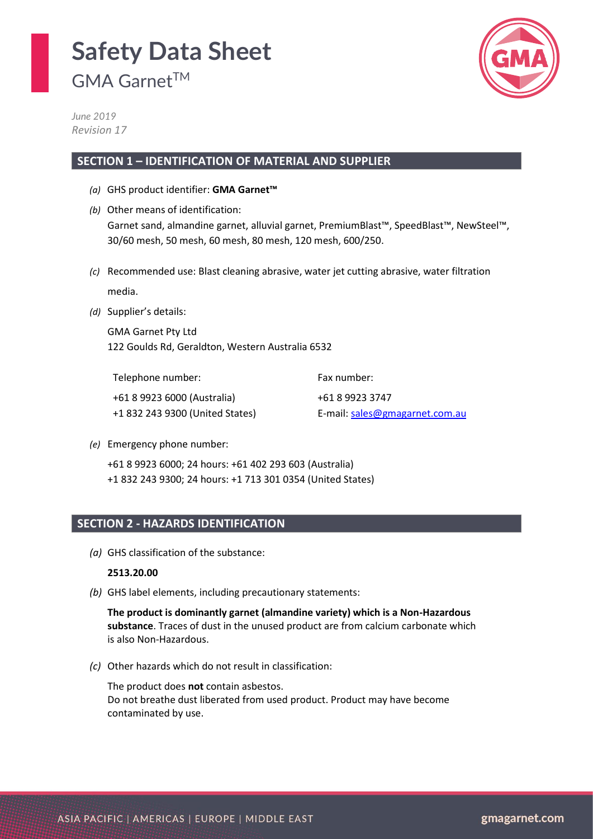GMA Garnet<sup>™</sup>



*June 2019 Revision 17*

### **SECTION 1 – IDENTIFICATION OF MATERIAL AND SUPPLIER**

- *(a)* GHS product identifier: **GMA Garnet™**
- *(b)* Other means of identification: Garnet sand, almandine garnet, alluvial garnet, PremiumBlast™, SpeedBlast™, NewSteel™, 30/60 mesh, 50 mesh, 60 mesh, 80 mesh, 120 mesh, 600/250.
- *(c)* Recommended use: Blast cleaning abrasive, water jet cutting abrasive, water filtration media.
- *(d)* Supplier's details:

GMA Garnet Pty Ltd 122 Goulds Rd, Geraldton, Western Australia 6532

Telephone number: +61 8 9923 6000 (Australia) +1 832 243 9300 (United States) Fax number: +61 8 9923 3747 E-mail: [sales@gmagarnet.com.au](mailto:sales@gmagarnet.com.au)

*(e)* Emergency phone number:

+61 8 9923 6000; 24 hours: +61 402 293 603 (Australia) +1 832 243 9300; 24 hours: +1 713 301 0354 (United States)

### **SECTION 2 - HAZARDS IDENTIFICATION**

*(a)* GHS classification of the substance:

#### **2513.20.00**

*(b)* GHS label elements, including precautionary statements:

**The product is dominantly garnet (almandine variety) which is a Non-Hazardous substance**. Traces of dust in the unused product are from calcium carbonate which is also Non-Hazardous.

*(c)* Other hazards which do not result in classification:

The product does **not** contain asbestos. Do not breathe dust liberated from used product. Product may have become contaminated by use.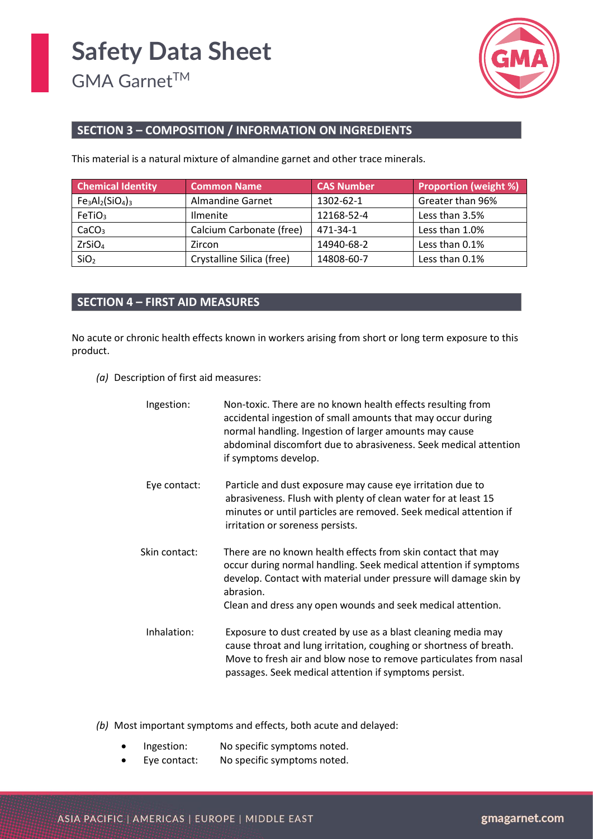

### **SECTION 3 – COMPOSITION / INFORMATION ON INGREDIENTS**

This material is a natural mixture of almandine garnet and other trace minerals.

| <b>Chemical Identity</b><br><b>Common Name</b> |                           | <b>CAS Number</b> | <b>Proportion (weight %)</b> |
|------------------------------------------------|---------------------------|-------------------|------------------------------|
| $Fe3Al2(SiO4)3$                                | Almandine Garnet          | 1302-62-1         | Greater than 96%             |
| FeTiO <sub>3</sub>                             | <b>Ilmenite</b>           | 12168-52-4        | Less than 3.5%               |
| CaCO <sub>3</sub>                              | Calcium Carbonate (free)  | 471-34-1          | Less than 1.0%               |
| ZrSiO <sub>4</sub>                             | Zircon                    | 14940-68-2        | Less than 0.1%               |
| SiO <sub>2</sub>                               | Crystalline Silica (free) | 14808-60-7        | Less than 0.1%               |

### **SECTION 4 – FIRST AID MEASURES**

No acute or chronic health effects known in workers arising from short or long term exposure to this product.

*(a)* Description of first aid measures:

| Ingestion:    | Non-toxic. There are no known health effects resulting from<br>accidental ingestion of small amounts that may occur during<br>normal handling. Ingestion of larger amounts may cause<br>abdominal discomfort due to abrasiveness. Seek medical attention<br>if symptoms develop.  |
|---------------|-----------------------------------------------------------------------------------------------------------------------------------------------------------------------------------------------------------------------------------------------------------------------------------|
| Eye contact:  | Particle and dust exposure may cause eye irritation due to<br>abrasiveness. Flush with plenty of clean water for at least 15<br>minutes or until particles are removed. Seek medical attention if<br>irritation or soreness persists.                                             |
| Skin contact: | There are no known health effects from skin contact that may<br>occur during normal handling. Seek medical attention if symptoms<br>develop. Contact with material under pressure will damage skin by<br>abrasion.<br>Clean and dress any open wounds and seek medical attention. |
| Inhalation:   | Exposure to dust created by use as a blast cleaning media may<br>cause throat and lung irritation, coughing or shortness of breath.<br>Move to fresh air and blow nose to remove particulates from nasal<br>passages. Seek medical attention if symptoms persist.                 |

*(b)* Most important symptoms and effects, both acute and delayed:

- Ingestion: No specific symptoms noted.
- Eye contact: No specific symptoms noted.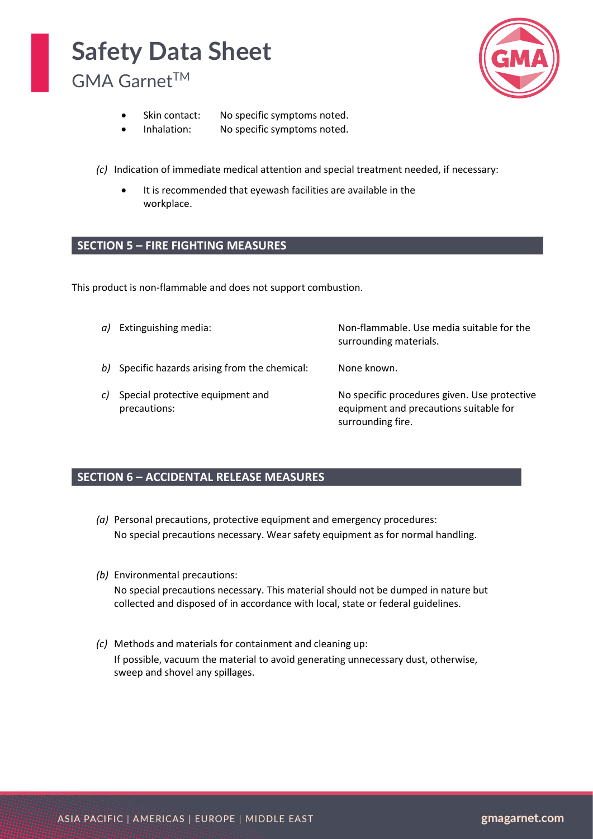GMA Garnet<sup>™</sup>



- Skin contact: No specific symptoms noted.
- Inhalation: No specific symptoms noted.

*(c)* Indication of immediate medical attention and special treatment needed, if necessary:

It is recommended that eyewash facilities are available in the workplace.

### **SECTION 5 – FIRE FIGHTING MEASURES**

This product is non-flammable and does not support combustion.

|    | a) Extinguishing media:                          | Non-flammable. Use media suitable for the<br>surrounding materials.                                         |
|----|--------------------------------------------------|-------------------------------------------------------------------------------------------------------------|
|    | b) Specific hazards arising from the chemical:   | None known.                                                                                                 |
| c) | Special protective equipment and<br>precautions: | No specific procedures given. Use protective<br>equipment and precautions suitable for<br>surrounding fire. |

### **SECTION 6 – ACCIDENTAL RELEASE MEASURES**

- *(a)* Personal precautions, protective equipment and emergency procedures: No special precautions necessary. Wear safety equipment as for normal handling.
- *(b)* Environmental precautions: No special precautions necessary. This material should not be dumped in nature but collected and disposed of in accordance with local, state or federal guidelines.
- *(c)* Methods and materials for containment and cleaning up: If possible, vacuum the material to avoid generating unnecessary dust, otherwise, sweep and shovel any spillages.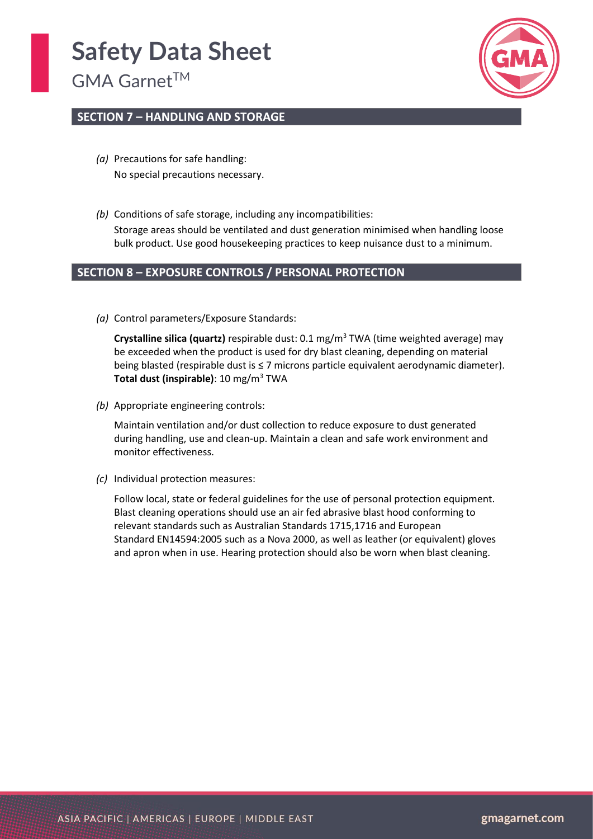GMA Garnet<sup>™</sup>



### **SECTION 7 – HANDLING AND STORAGE**

- *(a)* Precautions for safe handling: No special precautions necessary.
- *(b)* Conditions of safe storage, including any incompatibilities: Storage areas should be ventilated and dust generation minimised when handling loose bulk product. Use good housekeeping practices to keep nuisance dust to a minimum.

### **SECTION 8 – EXPOSURE CONTROLS / PERSONAL PROTECTION**

*(a)* Control parameters/Exposure Standards:

**Crystalline silica (quartz)** respirable dust: 0.1 mg/m<sup>3</sup> TWA (time weighted average) may be exceeded when the product is used for dry blast cleaning, depending on material being blasted (respirable dust is ≤ 7 microns particle equivalent aerodynamic diameter). **Total dust (inspirable)**: 10 mg/m<sup>3</sup> TWA

*(b)* Appropriate engineering controls:

Maintain ventilation and/or dust collection to reduce exposure to dust generated during handling, use and clean-up. Maintain a clean and safe work environment and monitor effectiveness.

*(c)* Individual protection measures:

Follow local, state or federal guidelines for the use of personal protection equipment. Blast cleaning operations should use an air fed abrasive blast hood conforming to relevant standards such as Australian Standards 1715,1716 and European Standard EN14594:2005 such as a Nova 2000, as well as leather (or equivalent) gloves and apron when in use. Hearing protection should also be worn when blast cleaning.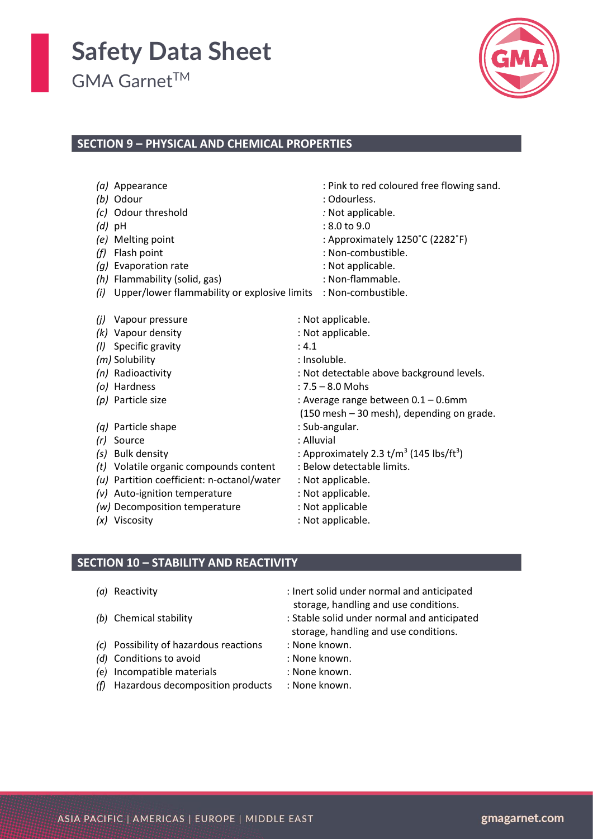GMA Garnet<sup>™</sup>



### **SECTION 9 – PHYSICAL AND CHEMICAL PROPERTIES**

|                   | (a) Appearance                               | : Pink to red coloured free flowing sand.                       |
|-------------------|----------------------------------------------|-----------------------------------------------------------------|
|                   | (b) Odour                                    | : Odourless.                                                    |
| (c)               | Odour threshold                              | : Not applicable.                                               |
|                   | $(d)$ pH                                     | $: 8.0 $ to $9.0$                                               |
| (e)               | Melting point                                | : Approximately 1250°C (2282°F)                                 |
| (f)               | Flash point                                  | : Non-combustible.                                              |
| (g)               | Evaporation rate                             | : Not applicable.                                               |
| (h)               | Flammability (solid, gas)                    | : Non-flammable.                                                |
| (i)               | Upper/lower flammability or explosive limits | : Non-combustible.                                              |
|                   |                                              |                                                                 |
| (i)               | Vapour pressure                              | : Not applicable.                                               |
|                   | (k) Vapour density                           | : Not applicable.                                               |
| (1)               | Specific gravity                             | : 4.1                                                           |
|                   | (m) Solubility                               | : Insoluble.                                                    |
|                   | (n) Radioactivity                            | : Not detectable above background levels.                       |
|                   | (o) Hardness                                 | $: 7.5 - 8.0$ Mohs                                              |
|                   | (p) Particle size                            | : Average range between 0.1 - 0.6mm                             |
|                   |                                              | (150 mesh - 30 mesh), depending on grade.                       |
| $\left( a\right)$ | Particle shape                               | : Sub-angular.                                                  |
| (r)               | Source                                       | : Alluvial                                                      |
| $\left( s\right)$ | <b>Bulk density</b>                          | : Approximately 2.3 t/m <sup>3</sup> (145 lbs/ft <sup>3</sup> ) |
| (t)               | Volatile organic compounds content           | : Below detectable limits.                                      |
| (u)               | Partition coefficient: n-octanol/water       | : Not applicable.                                               |
| (v)               | Auto-ignition temperature                    | : Not applicable.                                               |
|                   | (w) Decomposition temperature                | : Not applicable                                                |
|                   | (x) Viscosity                                | : Not applicable.                                               |

#### **SECTION 10 – STABILITY AND REACTIVITY**

- 
- 
- *(c)* Possibility of hazardous reactions : None known.
- *(d)* Conditions to avoid : None known.
- *(e)* Incompatible materials : None known.
- *(f)* Hazardous decomposition products : None known.
- *(a)* Reactivity : Inert solid under normal and anticipated storage, handling and use conditions.
- *(b)* Chemical stability : Stable solid under normal and anticipated storage, handling and use conditions.
	-
	-
	-
	-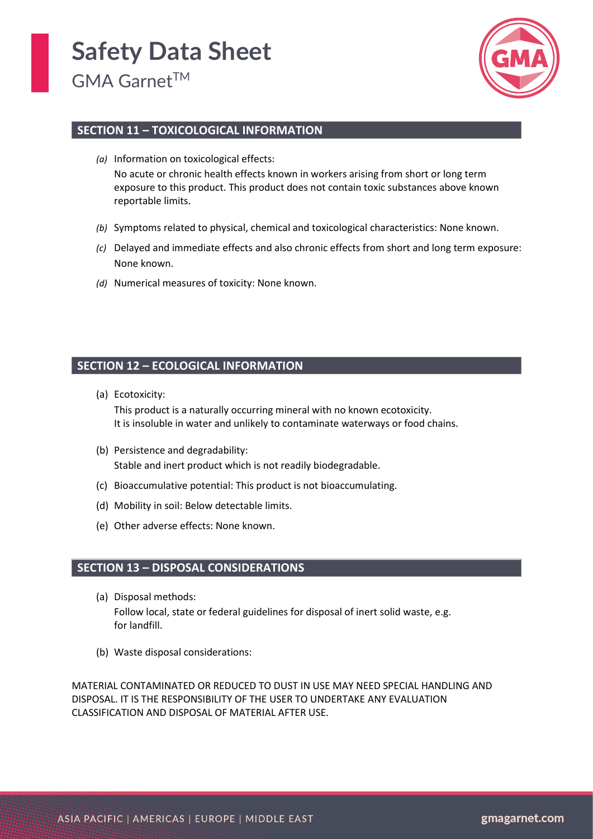

### **SECTION 11 – TOXICOLOGICAL INFORMATION**

- *(a)* Information on toxicological effects: No acute or chronic health effects known in workers arising from short or long term exposure to this product. This product does not contain toxic substances above known reportable limits.
- *(b)* Symptoms related to physical, chemical and toxicological characteristics: None known.
- *(c)* Delayed and immediate effects and also chronic effects from short and long term exposure: None known.
- *(d)* Numerical measures of toxicity: None known.

### **SECTION 12 – ECOLOGICAL INFORMATION**

(a) Ecotoxicity:

This product is a naturally occurring mineral with no known ecotoxicity. It is insoluble in water and unlikely to contaminate waterways or food chains.

- (b) Persistence and degradability: Stable and inert product which is not readily biodegradable.
- (c) Bioaccumulative potential: This product is not bioaccumulating.
- (d) Mobility in soil: Below detectable limits.
- (e) Other adverse effects: None known.

#### **SECTION 13 – DISPOSAL CONSIDERATIONS**

- (a) Disposal methods: Follow local, state or federal guidelines for disposal of inert solid waste, e.g. for landfill.
- (b) Waste disposal considerations:

MATERIAL CONTAMINATED OR REDUCED TO DUST IN USE MAY NEED SPECIAL HANDLING AND DISPOSAL. IT IS THE RESPONSIBILITY OF THE USER TO UNDERTAKE ANY EVALUATION CLASSIFICATION AND DISPOSAL OF MATERIAL AFTER USE.